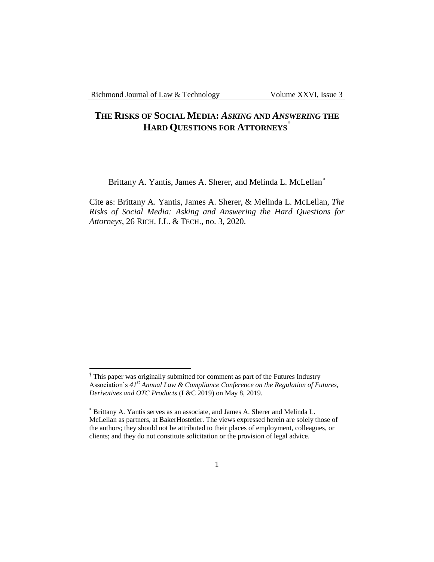$\overline{a}$ 

# **THE RISKS OF SOCIAL MEDIA:** *ASKING* **AND** *ANSWERING* **THE HARD QUESTIONS FOR ATTORNEYS†**

Brittany A. Yantis, James A. Sherer, and Melinda L. McLellan<sup>\*</sup>

Cite as: Brittany A. Yantis, James A. Sherer, & Melinda L. McLellan, *The Risks of Social Media: Asking and Answering the Hard Questions for Attorneys*, 26 RICH. J.L. & TECH., no. 3, 2020.

 $\dagger$  This paper was originally submitted for comment as part of the Futures Industry Association's *41st Annual Law & Compliance Conference on the Regulation of Futures, Derivatives and OTC Products* (L&C 2019) on May 8, 2019.

Brittany A. Yantis serves as an associate, and James A. Sherer and Melinda L. McLellan as partners, at BakerHostetler. The views expressed herein are solely those of the authors; they should not be attributed to their places of employment, colleagues, or clients; and they do not constitute solicitation or the provision of legal advice.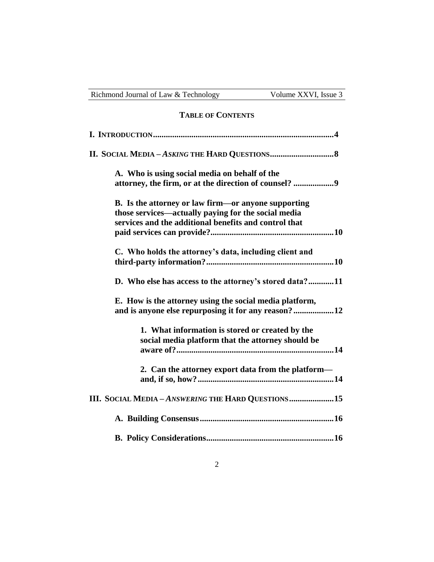| Richmond Journal of Law & Technology                                                                                                                                | Volume XXVI, Issue 3 |
|---------------------------------------------------------------------------------------------------------------------------------------------------------------------|----------------------|
| <b>TABLE OF CONTENTS</b>                                                                                                                                            |                      |
|                                                                                                                                                                     |                      |
|                                                                                                                                                                     |                      |
| A. Who is using social media on behalf of the                                                                                                                       |                      |
| B. Is the attorney or law firm—or anyone supporting<br>those services—actually paying for the social media<br>services and the additional benefits and control that |                      |
| C. Who holds the attorney's data, including client and                                                                                                              |                      |
| D. Who else has access to the attorney's stored data?11                                                                                                             |                      |
| E. How is the attorney using the social media platform,<br>and is anyone else repurposing it for any reason?12                                                      |                      |
| 1. What information is stored or created by the<br>social media platform that the attorney should be                                                                |                      |
| 2. Can the attorney export data from the platform-                                                                                                                  |                      |
| III. SOCIAL MEDIA - ANSWERING THE HARD QUESTIONS15                                                                                                                  |                      |
|                                                                                                                                                                     |                      |
|                                                                                                                                                                     |                      |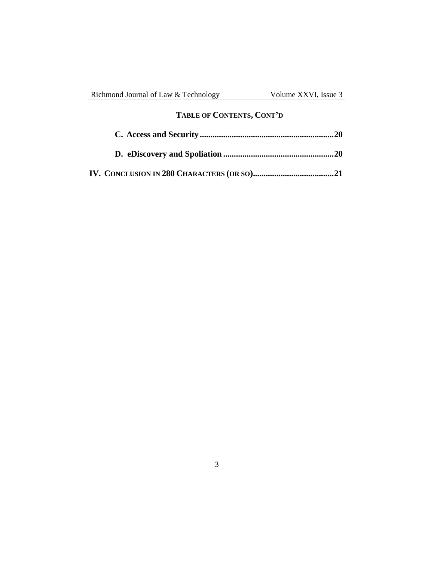| Richmond Journal of Law & Technology | Volume XXVI, Issue 3 |
|--------------------------------------|----------------------|
|                                      |                      |

# **TABLE OF CONTENTS, CONT'D**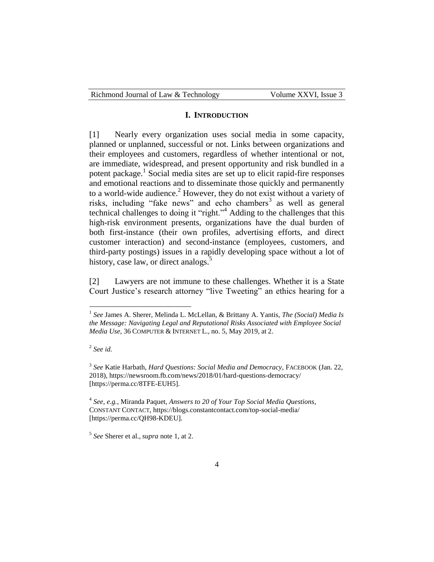| Richmond Journal of Law & Technology | Volume XXVI, Issue 3 |
|--------------------------------------|----------------------|
|--------------------------------------|----------------------|

#### **I. INTRODUCTION**

[1] Nearly every organization uses social media in some capacity, planned or unplanned, successful or not. Links between organizations and their employees and customers, regardless of whether intentional or not, are immediate, widespread, and present opportunity and risk bundled in a potent package.<sup>1</sup> Social media sites are set up to elicit rapid-fire responses and emotional reactions and to disseminate those quickly and permanently to a world-wide audience.<sup>2</sup> However, they do not exist without a variety of risks, including "fake news" and echo chambers<sup>3</sup> as well as general technical challenges to doing it "right."<sup>4</sup> Adding to the challenges that this high-risk environment presents, organizations have the dual burden of both first-instance (their own profiles, advertising efforts, and direct customer interaction) and second-instance (employees, customers, and third-party postings) issues in a rapidly developing space without a lot of history, case law, or direct analogs.<sup>5</sup>

[2] Lawyers are not immune to these challenges. Whether it is a State Court Justice's research attorney "live Tweeting" an ethics hearing for a

2 *See id.* 

 $\overline{a}$ 

3 *See* Katie Harbath, *Hard Questions: Social Media and Democracy*, FACEBOOK (Jan. 22, 2018), https://newsroom.fb.com/news/2018/01/hard-questions-democracy/ [https://perma.cc/8TFE-EUH5].

4 *See, e.g.*, Miranda Paquet, *Answers to 20 of Your Top Social Media Questions*, CONSTANT CONTACT, https://blogs.constantcontact.com/top-social-media/ [https://perma.cc/QH98-KDEU].

5 *See* Sherer et al., *supra* note 1, at 2.

<sup>&</sup>lt;sup>1</sup> See James A. Sherer, Melinda L. McLellan, & Brittany A. Yantis, *The (Social) Media Is the Message: Navigating Legal and Reputational Risks Associated with Employee Social Media Use*, 36 COMPUTER & INTERNET L., no. 5, May 2019, at 2.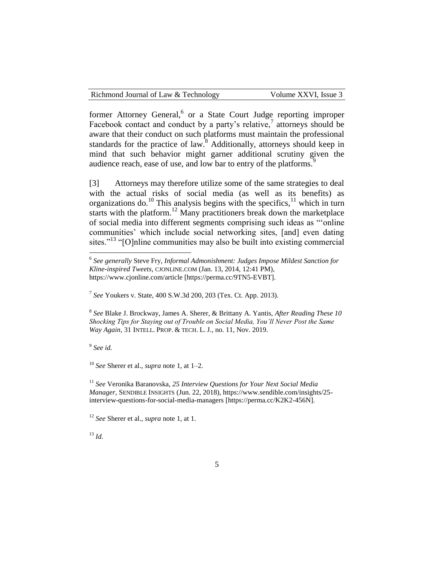former Attorney General, or a State Court Judge reporting improper Facebook contact and conduct by a party's relative, $\frac{7}{7}$  attorneys should be aware that their conduct on such platforms must maintain the professional standards for the practice of law.<sup>8</sup> Additionally, attorneys should keep in mind that such behavior might garner additional scrutiny given the audience reach, ease of use, and low bar to entry of the platforms.<sup>9</sup>

[3] Attorneys may therefore utilize some of the same strategies to deal with the actual risks of social media (as well as its benefits) as organizations do.<sup>10</sup> This analysis begins with the specifics,<sup>11</sup> which in turn starts with the platform.<sup>12</sup> Many practitioners break down the marketplace of social media into different segments comprising such ideas as "'online communities' which include social networking sites, [and] even dating sites."<sup>13</sup> "[O]nline communities may also be built into existing commercial

7 *See* Youkers v. State, 400 S.W.3d 200, 203 (Tex. Ct. App. 2013).

8 *See* Blake J. Brockway, James A. Sherer, & Brittany A. Yantis, *After Reading These 10 Shocking Tips for Staying out of Trouble on Social Media, You'll Never Post the Same Way Again*, 31 INTELL. PROP. & TECH. L. J., no. 11, Nov. 2019.

9 *See id.*

<sup>10</sup> *See* Sherer et al., *supra* note 1, at 1–2.

<sup>11</sup> *See* Veronika Baranovska, *25 Interview Questions for Your Next Social Media Manager*, SENDIBLE INSIGHTS (Jun. 22, 2018), https://www.sendible.com/insights/25 interview-questions-for-social-media-managers [https://perma.cc/K2K2-456N].

<sup>12</sup> *See* Sherer et al., *supra* note 1, at 1.

<sup>13</sup> *Id.*

 6 *See generally* Steve Fry, *Informal Admonishment: Judges Impose Mildest Sanction for Kline-inspired Tweets*, CJONLINE.COM (Jan. 13, 2014, 12:41 PM), https://www.cjonline.com/article [https://perma.cc/9TN5-EVBT].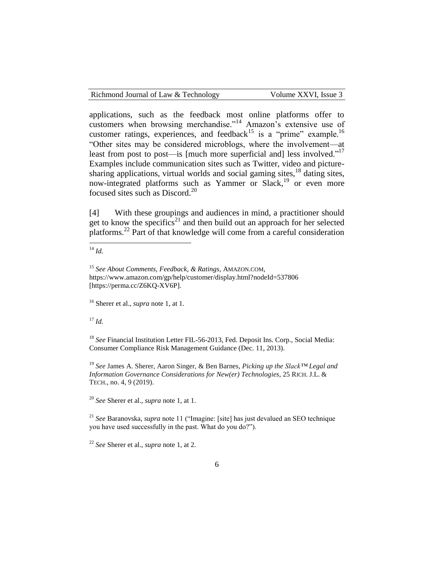applications, such as the feedback most online platforms offer to customers when browsing merchandise."<sup>14</sup> Amazon's extensive use of customer ratings, experiences, and feedback<sup>15</sup> is a "prime" example.<sup>16</sup> "Other sites may be considered microblogs, where the involvement—at least from post to post—is [much more superficial and] less involved."<sup>17</sup> Examples include communication sites such as Twitter, video and picturesharing applications, virtual worlds and social gaming sites, $18$  dating sites, now-integrated platforms such as Yammer or Slack,<sup>19</sup> or even more focused sites such as Discord.<sup>20</sup>

[4] With these groupings and audiences in mind, a practitioner should get to know the specifics<sup>21</sup> and then build out an approach for her selected platforms.<sup>22</sup> Part of that knowledge will come from a careful consideration

<sup>14</sup> *Id.*

 $\overline{a}$ 

<sup>16</sup> Sherer et al., *supra* note 1, at 1.

<sup>17</sup> *Id.*

<sup>18</sup> See Financial Institution Letter FIL-56-2013, Fed. Deposit Ins. Corp., Social Media: Consumer Compliance Risk Management Guidance (Dec. 11, 2013).

<sup>19</sup> *See* James A. Sherer, Aaron Singer, & Ben Barnes, *Picking up the Slack™ Legal and Information Governance Considerations for New(er) Technologies*, 25 RICH. J.L. & TECH., no. 4, 9 (2019).

<sup>20</sup> *See* Sherer et al., *supra* note 1, at 1.

<sup>21</sup> *See* Baranovska, *supra* note 11 ("Imagine: [site] has just devalued an SEO technique you have used successfully in the past. What do you do?").

<sup>22</sup> *See* Sherer et al., *supra* note 1, at 2.

<sup>15</sup> *See About Comments, Feedback, & Ratings*, AMAZON.COM, https://www.amazon.com/gp/help/customer/display.html?nodeId=537806 [https://perma.cc/Z6KQ-XV6P].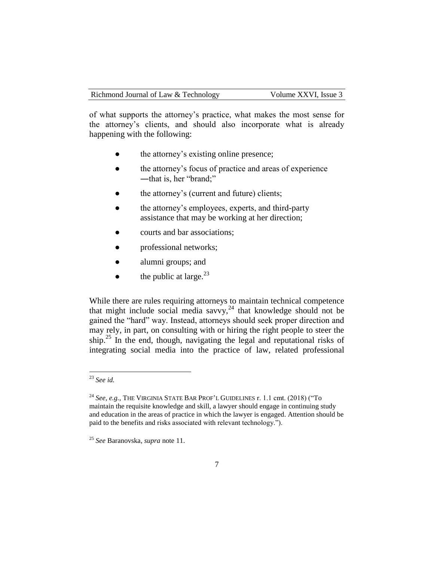of what supports the attorney's practice, what makes the most sense for the attorney's clients, and should also incorporate what is already happening with the following:

- the attorney's existing online presence;
- the attorney's focus of practice and areas of experience ―that is, her "brand;"
- the attorney's (current and future) clients;
- the attorney's employees, experts, and third-party assistance that may be working at her direction;
- courts and bar associations;
- professional networks;
- alumni groups; and
- $\bullet$  the public at large.<sup>23</sup>

While there are rules requiring attorneys to maintain technical competence that might include social media savvy, $^{24}$  that knowledge should not be gained the "hard" way. Instead, attorneys should seek proper direction and may rely, in part, on consulting with or hiring the right people to steer the ship.<sup>25</sup> In the end, though, navigating the legal and reputational risks of integrating social media into the practice of law, related professional

<sup>23</sup> *See id.*

<sup>24</sup> *See, e.g.*, THE VIRGINIA STATE BAR PROF'L GUIDELINES r. 1.1 cmt. (2018) ("To maintain the requisite knowledge and skill, a lawyer should engage in continuing study and education in the areas of practice in which the lawyer is engaged. Attention should be paid to the benefits and risks associated with relevant technology.").

<sup>25</sup> *See* Baranovska, *supra* note 11.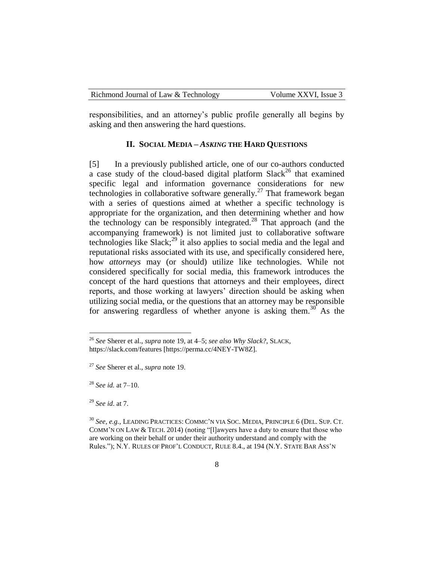| Richmond Journal of Law & Technology | Volume XXVI, Issue 3 |
|--------------------------------------|----------------------|
|--------------------------------------|----------------------|

responsibilities, and an attorney's public profile generally all begins by asking and then answering the hard questions.

### **II. SOCIAL MEDIA –** *ASKING* **THE HARD QUESTIONS**

[5] In a previously published article, one of our co-authors conducted a case study of the cloud-based digital platform  $Slack<sup>26</sup>$  that examined specific legal and information governance considerations for new technologies in collaborative software generally.<sup>27</sup> That framework began with a series of questions aimed at whether a specific technology is appropriate for the organization, and then determining whether and how the technology can be responsibly integrated.<sup>28</sup> That approach (and the accompanying framework) is not limited just to collaborative software technologies like Slack;<sup>29</sup> it also applies to social media and the legal and reputational risks associated with its use, and specifically considered here, how *attorneys* may (or should) utilize like technologies. While not considered specifically for social media, this framework introduces the concept of the hard questions that attorneys and their employees, direct reports, and those working at lawyers' direction should be asking when utilizing social media, or the questions that an attorney may be responsible for answering regardless of whether anyone is asking them.<sup>30</sup> As the

<sup>26</sup> *See* Sherer et al., *supra* note 19, at 4–5; *see also Why Slack?*, SLACK, https://slack.com/features [https://perma.cc/4NEY-TW8Z].

<sup>27</sup> *See* Sherer et al., *supra* note 19.

<sup>28</sup> *See id.* at 7–10.

<sup>29</sup> *See id*. at 7.

<sup>30</sup> *See, e.g.*, LEADING PRACTICES: COMMC'N VIA SOC. MEDIA, PRINCIPLE 6 (DEL. SUP. CT. COMM'N ON LAW & TECH. 2014) (noting "[l]awyers have a duty to ensure that those who are working on their behalf or under their authority understand and comply with the Rules."); N.Y. RULES OF PROF'L CONDUCT, RULE 8.4., at 194 (N.Y. STATE BAR ASS'N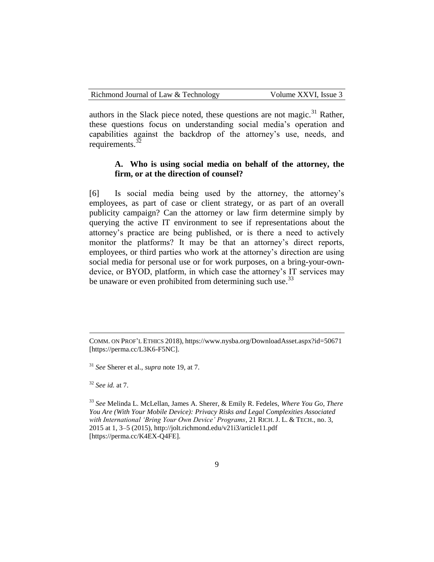authors in the Slack piece noted, these questions are not magic.<sup>31</sup> Rather, these questions focus on understanding social media's operation and capabilities against the backdrop of the attorney's use, needs, and requirements. $32$ 

# **A. Who is using social media on behalf of the attorney, the firm, or at the direction of counsel?**

[6] Is social media being used by the attorney, the attorney's employees, as part of case or client strategy, or as part of an overall publicity campaign? Can the attorney or law firm determine simply by querying the active IT environment to see if representations about the attorney's practice are being published, or is there a need to actively monitor the platforms? It may be that an attorney's direct reports, employees, or third parties who work at the attorney's direction are using social media for personal use or for work purposes, on a bring-your-owndevice, or BYOD, platform, in which case the attorney's IT services may be unaware or even prohibited from determining such use.<sup>33</sup>

<sup>32</sup> *See id.* at 7.

 $\overline{a}$ 

<sup>33</sup> *See* Melinda L. McLellan, James A. Sherer, & Emily R. Fedeles, *Where You Go, There You Are (With Your Mobile Device): Privacy Risks and Legal Complexities Associated with International 'Bring Your Own Device' Programs*, 21 RICH. J. L. & TECH., no. 3, 2015 at 1, 3–5 (2015), http://jolt.richmond.edu/v21i3/article11.pdf [https://perma.cc/K4EX-Q4FE].

COMM. ON PROF'L ETHICS 2018), https://www.nysba.org/DownloadAsset.aspx?id=50671 [https://perma.cc/L3K6-F5NC].

<sup>31</sup> *See* Sherer et al., *supra* note 19, at 7.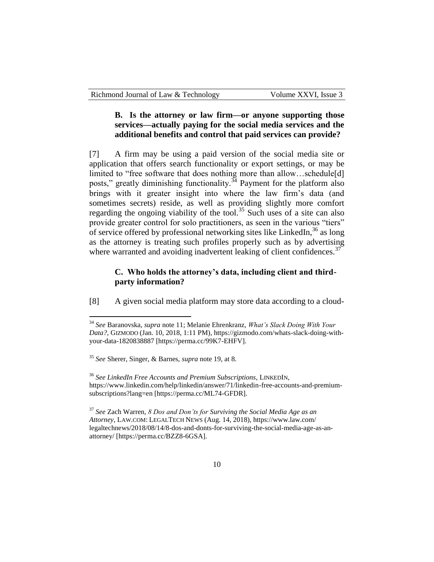# **B. Is the attorney or law firm—or anyone supporting those services—actually paying for the social media services and the additional benefits and control that paid services can provide?**

[7] A firm may be using a paid version of the social media site or application that offers search functionality or export settings, or may be limited to "free software that does nothing more than allow…schedule[d] posts," greatly diminishing functionality.<sup>34</sup> Payment for the platform also brings with it greater insight into where the law firm's data (and sometimes secrets) reside, as well as providing slightly more comfort regarding the ongoing viability of the tool.<sup>35</sup> Such uses of a site can also provide greater control for solo practitioners, as seen in the various "tiers" of service offered by professional networking sites like LinkedIn, $36$  as long as the attorney is treating such profiles properly such as by advertising where warranted and avoiding inadvertent leaking of client confidences.<sup>37</sup>

#### **C. Who holds the attorney's data, including client and thirdparty information?**

[8] A given social media platform may store data according to a cloud-

<sup>34</sup> *See* Baranovska, *supra* note 11; Melanie Ehrenkranz, *What's Slack Doing With Your Data?*, GIZMODO (Jan. 10, 2018, 1:11 PM), https://gizmodo.com/whats-slack-doing-withyour-data-1820838887 [https://perma.cc/99K7-EHFV].

<sup>35</sup> *See* Sherer, Singer, & Barnes, *supra* note 19, at 8.

<sup>36</sup> *See LinkedIn Free Accounts and Premium Subscriptions*, LINKEDIN, https://www.linkedin.com/help/linkedin/answer/71/linkedin-free-accounts-and-premiumsubscriptions?lang=en [https://perma.cc/ML74-GFDR].

<sup>37</sup> *See* Zach Warren, *8 Dos and Don'ts for Surviving the Social Media Age as an Attorney*, LAW.COM: LEGALTECH NEWS (Aug. 14, 2018), https://www.law.com/ legaltechnews/2018/08/14/8-dos-and-donts-for-surviving-the-social-media-age-as-anattorney/ [https://perma.cc/BZZ8-6GSA].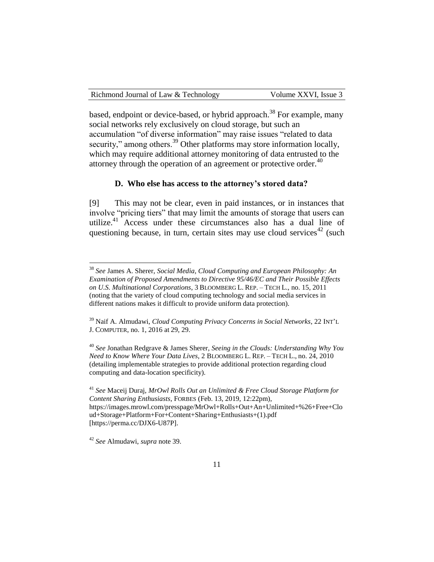| Richmond Journal of Law & Technology | Volume XXVI, Issue 3 |
|--------------------------------------|----------------------|
|--------------------------------------|----------------------|

based, endpoint or device-based, or hybrid approach.<sup>38</sup> For example, many social networks rely exclusively on cloud storage, but such an accumulation "of diverse information" may raise issues "related to data security," among others.<sup>39</sup> Other platforms may store information locally, which may require additional attorney monitoring of data entrusted to the attorney through the operation of an agreement or protective order.<sup>40</sup>

# **D. Who else has access to the attorney's stored data?**

[9] This may not be clear, even in paid instances, or in instances that involve "pricing tiers" that may limit the amounts of storage that users can utilize.<sup>41</sup> Access under these circumstances also has a dual line of questioning because, in turn, certain sites may use cloud services<sup>42</sup> (such

<sup>40</sup> *See* Jonathan Redgrave & James Sherer, *Seeing in the Clouds: Understanding Why You Need to Know Where Your Data Lives*, 2 BLOOMBERG L. REP. – TECH L., no. 24, 2010 (detailing implementable strategies to provide additional protection regarding cloud computing and data-location specificity).

<sup>41</sup> *See* Maceij Duraj, *MrOwl Rolls Out an Unlimited & Free Cloud Storage Platform for Content Sharing Enthusiasts*, FORBES (Feb. 13, 2019, 12:22pm), https://images.mrowl.com/presspage/MrOwl+Rolls+Out+An+Unlimited+%26+Free+Clo ud+Storage+Platform+For+Content+Sharing+Enthusiasts+(1).pdf [https://perma.cc/DJX6-U87P].

<sup>38</sup> *See* James A. Sherer, *Social Media, Cloud Computing and European Philosophy: An Examination of Proposed Amendments to Directive 95/46/EC and Their Possible Effects on U.S. Multinational Corporations*, 3 BLOOMBERG L. REP. – TECH L., no. 15, 2011 (noting that the variety of cloud computing technology and social media services in different nations makes it difficult to provide uniform data protection).

<sup>39</sup> Naif A. Almudawi, *Cloud Computing Privacy Concerns in Social Networks*, 22 INT'<sup>L</sup> J. COMPUTER, no. 1, 2016 at 29, 29.

<sup>42</sup> *See* Almudawi, *supra* note 39.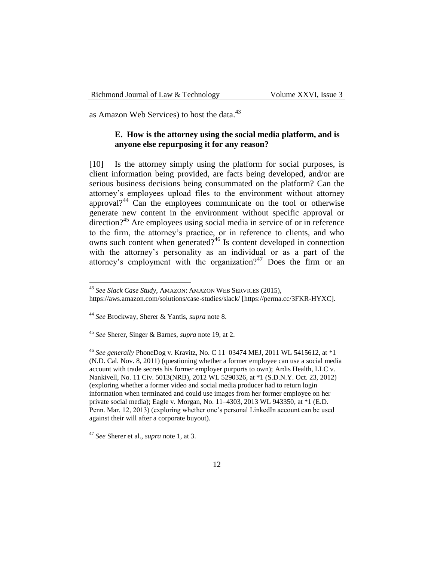as Amazon Web Services) to host the data.<sup>43</sup>

## **E. How is the attorney using the social media platform, and is anyone else repurposing it for any reason?**

[10] Is the attorney simply using the platform for social purposes, is client information being provided, are facts being developed, and/or are serious business decisions being consummated on the platform? Can the attorney's employees upload files to the environment without attorney approval?<sup>44</sup> Can the employees communicate on the tool or otherwise generate new content in the environment without specific approval or direction?<sup>45</sup> Are employees using social media in service of or in reference to the firm, the attorney's practice, or in reference to clients, and who owns such content when generated?<sup>46</sup> Is content developed in connection with the attorney's personality as an individual or as a part of the attorney's employment with the organization?<sup>47</sup> Does the firm or an

<sup>43</sup> *See Slack Case Study*, AMAZON: AMAZON WEB SERVICES (2015),

https://aws.amazon.com/solutions/case-studies/slack/ [https://perma.cc/3FKR-HYXC].

<sup>44</sup> *See* Brockway, Sherer & Yantis, *supra* note 8.

<sup>45</sup> *See* Sherer, Singer & Barnes, *supra* note 19, at 2.

<sup>46</sup> *See generally* PhoneDog v. Kravitz, No. C 11–03474 MEJ, 2011 WL 5415612, at \*1 (N.D. Cal. Nov. 8, 2011) (questioning whether a former employee can use a social media account with trade secrets his former employer purports to own); Ardis Health, LLC v. Nankivell, No. 11 Civ. 5013(NRB), 2012 WL 5290326, at \*1 (S.D.N.Y. Oct. 23, 2012) (exploring whether a former video and social media producer had to return login information when terminated and could use images from her former employee on her private social media); Eagle v. Morgan, No. 11–4303, 2013 WL 943350, at \*1 (E.D. Penn. Mar. 12, 2013) (exploring whether one's personal LinkedIn account can be used against their will after a corporate buyout).

<sup>47</sup> *See* Sherer et al., *supra* note 1, at 3.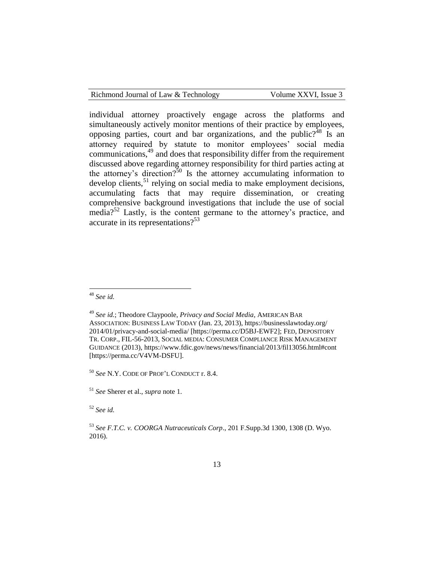| Richmond Journal of Law & Technology |  |  |
|--------------------------------------|--|--|
|--------------------------------------|--|--|

Volume XXVI, Issue 3

individual attorney proactively engage across the platforms and simultaneously actively monitor mentions of their practice by employees, opposing parties, court and bar organizations, and the public? $48$  Is an attorney required by statute to monitor employees' social media communications,<sup>49</sup> and does that responsibility differ from the requirement discussed above regarding attorney responsibility for third parties acting at the attorney's direction?<sup>50</sup> Is the attorney accumulating information to develop clients, $51$  relying on social media to make employment decisions, accumulating facts that may require dissemination, or creating comprehensive background investigations that include the use of social media?<sup>52</sup> Lastly, is the content germane to the attorney's practice, and accurate in its representations?<sup>53</sup>

 $\overline{a}$ 

<sup>50</sup> *See* N.Y. CODE OF PROF'L CONDUCT r. 8.4.

<sup>52</sup> *See id.* 

<sup>48</sup> *See id.*

<sup>49</sup> *See id.*; Theodore Claypoole, *Privacy and Social Media*, AMERICAN BAR ASSOCIATION: BUSINESS LAW TODAY (Jan. 23, 2013), https://businesslawtoday.org/ 2014/01/privacy-and-social-media/ [https://perma.cc/D5BJ-EWF2]; FED, DEPOSITORY TR. CORP., FIL-56-2013, SOCIAL MEDIA: CONSUMER COMPLIANCE RISK MANAGEMENT GUIDANCE (2013), https://www.fdic.gov/news/news/financial/2013/fil13056.html#cont [https://perma.cc/V4VM-DSFU].

<sup>51</sup> *See* Sherer et al., *supra* note 1.

<sup>53</sup> *See F.T.C. v. COORGA Nutraceuticals Corp*., 201 F.Supp.3d 1300, 1308 (D. Wyo. 2016).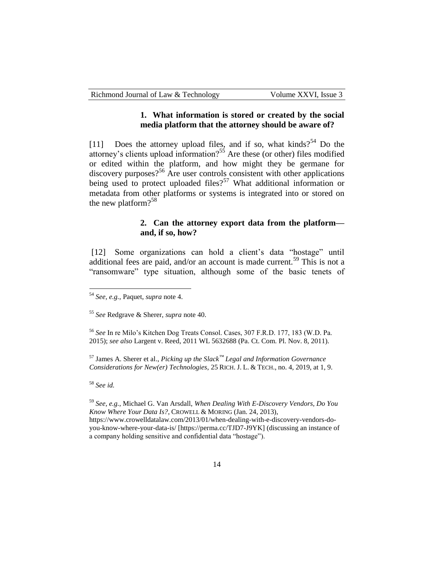#### **1. What information is stored or created by the social media platform that the attorney should be aware of?**

[11] Does the attorney upload files, and if so, what kinds?<sup>54</sup> Do the attorney's clients upload information?<sup>55</sup> Are these (or other) files modified or edited within the platform, and how might they be germane for  $discovery purposes$ <sup>56</sup> Are user controls consistent with other applications being used to protect uploaded files?<sup>57</sup> What additional information or metadata from other platforms or systems is integrated into or stored on the new platform?<sup>58</sup>

## **2. Can the attorney export data from the platform and, if so, how?**

[12] Some organizations can hold a client's data "hostage" until additional fees are paid, and/or an account is made current.<sup>59</sup> This is not a "ransomware" type situation, although some of the basic tenets of

<sup>57</sup> James A. Sherer et al., *Picking up the Slack™ Legal and Information Governance Considerations for New(er) Technologies*, 25 RICH. J. L. & TECH., no. 4, 2019, at 1, 9.

<sup>58</sup> *See id.*

 $\overline{a}$ 

<sup>59</sup> *See, e.g.*, Michael G. Van Arsdall, *When Dealing With E-Discovery Vendors, Do You Know Where Your Data Is?*, CROWELL & MORING (Jan. 24, 2013), https://www.crowelldatalaw.com/2013/01/when-dealing-with-e-discovery-vendors-doyou-know-where-your-data-is/ [https://perma.cc/TJD7-J9YK] (discussing an instance of a company holding sensitive and confidential data "hostage").

<sup>54</sup> *See, e.g.*, Paquet, *supra* note 4.

<sup>55</sup> *See* Redgrave & Sherer, *supra* note 40.

<sup>56</sup> *See* In re Milo's Kitchen Dog Treats Consol. Cases, 307 F.R.D. 177, 183 (W.D. Pa. 2015); *see also* Largent v. Reed, 2011 WL 5632688 (Pa. Ct. Com. Pl. Nov. 8, 2011).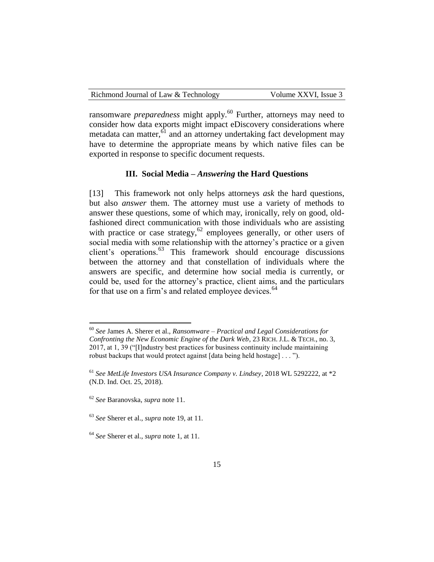| Richmond Journal of Law & Technology | Volume XXVI, Issue 3 |
|--------------------------------------|----------------------|
|--------------------------------------|----------------------|

ransomware *preparedness* might apply.<sup>60</sup> Further, attorneys may need to consider how data exports might impact eDiscovery considerations where metadata can matter,<sup>61</sup> and an attorney undertaking fact development may have to determine the appropriate means by which native files can be exported in response to specific document requests.

#### **III. Social Media –** *Answering* **the Hard Questions**

[13] This framework not only helps attorneys *ask* the hard questions, but also *answer* them. The attorney must use a variety of methods to answer these questions, some of which may, ironically, rely on good, oldfashioned direct communication with those individuals who are assisting with practice or case strategy,  $62$  employees generally, or other users of social media with some relationship with the attorney's practice or a given client's operations.<sup>63</sup> This framework should encourage discussions between the attorney and that constellation of individuals where the answers are specific, and determine how social media is currently, or could be, used for the attorney's practice, client aims, and the particulars for that use on a firm's and related employee devices.<sup>64</sup>

<sup>60</sup> *See* James A. Sherer et al., *Ransomware – Practical and Legal Considerations for Confronting the New Economic Engine of the Dark Web*, 23 RICH. J.L. & TECH., no. 3, 2017, at 1, 39 ("[I]ndustry best practices for business continuity include maintaining robust backups that would protect against [data being held hostage] . . . ").

<sup>61</sup> *See MetLife Investors USA Insurance Company v. Lindsey*, 2018 WL 5292222, at \*2 (N.D. Ind. Oct. 25, 2018).

<sup>62</sup> *See* Baranovska, *supra* note 11.

<sup>63</sup> *See* Sherer et al., *supra* note 19, at 11.

<sup>64</sup> *See* Sherer et al., *supra* note 1, at 11.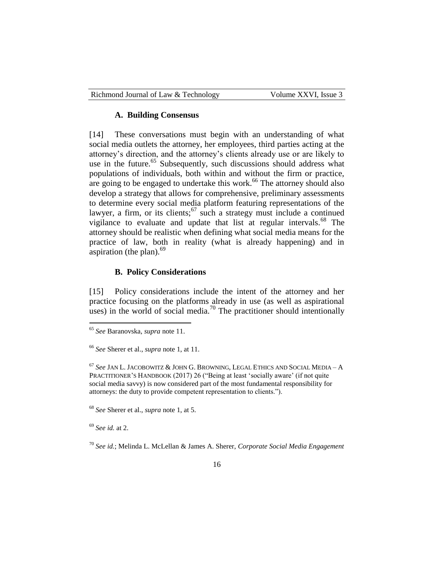| Richmond Journal of Law & Technology | Volume XXVI, Issue 3 |
|--------------------------------------|----------------------|
|--------------------------------------|----------------------|

#### **A.****Building Consensus**

[14] These conversations must begin with an understanding of what social media outlets the attorney, her employees, third parties acting at the attorney's direction, and the attorney's clients already use or are likely to use in the future.<sup>65</sup> Subsequently, such discussions should address what populations of individuals, both within and without the firm or practice, are going to be engaged to undertake this work.<sup>66</sup> The attorney should also develop a strategy that allows for comprehensive, preliminary assessments to determine every social media platform featuring representations of the lawyer, a firm, or its clients;<sup>67</sup> such a strategy must include a continued vigilance to evaluate and update that list at regular intervals.<sup>68</sup> The attorney should be realistic when defining what social media means for the practice of law, both in reality (what is already happening) and in aspiration (the plan). $69$ 

#### **B. Policy Considerations**

[15] Policy considerations include the intent of the attorney and her practice focusing on the platforms already in use (as well as aspirational uses) in the world of social media.<sup>70</sup> The practitioner should intentionally

<sup>68</sup> *See* Sherer et al., *supra* note 1, at 5.

<sup>69</sup> *See id.* at 2.

<sup>65</sup> *See* Baranovska, *supra* note 11.

<sup>66</sup> *See* Sherer et al., *supra* note 1, at 11.

<sup>67</sup> *See* JAN L. JACOBOWITZ & JOHN G. BROWNING, LEGAL ETHICS AND SOCIAL MEDIA – A PRACTITIONER'S HANDBOOK (2017) 26 ("Being at least 'socially aware' (if not quite social media savvy) is now considered part of the most fundamental responsibility for attorneys: the duty to provide competent representation to clients.").

<sup>70</sup> *See id.*; Melinda L. McLellan & James A. Sherer, *Corporate Social Media Engagement*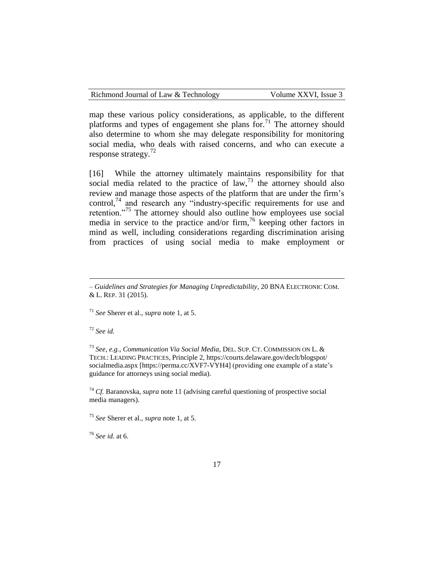map these various policy considerations, as applicable, to the different platforms and types of engagement she plans for.<sup>71</sup> The attorney should also determine to whom she may delegate responsibility for monitoring social media, who deals with raised concerns, and who can execute a response strategy.<sup>72</sup>

[16] While the attorney ultimately maintains responsibility for that social media related to the practice of law,  $73$  the attorney should also review and manage those aspects of the platform that are under the firm's control, $74$  and research any "industry-specific requirements for use and retention."<sup>75</sup> The attorney should also outline how employees use social media in service to the practice and/or firm,  $\frac{76}{10}$  keeping other factors in mind as well, including considerations regarding discrimination arising from practices of using social media to make employment or

<sup>72</sup> *See id.*

 $\overline{a}$ 

<sup>73</sup> *See, e.g.*, *Communication Via Social Media*, DEL. SUP. CT. COMMISSION ON L. & TECH.: LEADING PRACTICES, Principle 2, https://courts.delaware.gov/declt/blogspot/ socialmedia.aspx [https://perma.cc/XVF7-VYH4] (providing one example of a state's guidance for attorneys using social media).

<sup>74</sup> *Cf.* Baranovska, *supra* note 11 (advising careful questioning of prospective social media managers).

<sup>75</sup> *See* Sherer et al., *supra* note 1, at 5.

<sup>76</sup> *See id.* at 6.

*<sup>–</sup> Guidelines and Strategies for Managing Unpredictability*, 20 BNA ELECTRONIC COM. & L. REP. 31 (2015).

<sup>71</sup> *See* Sherer et al., *supra* note 1, at 5.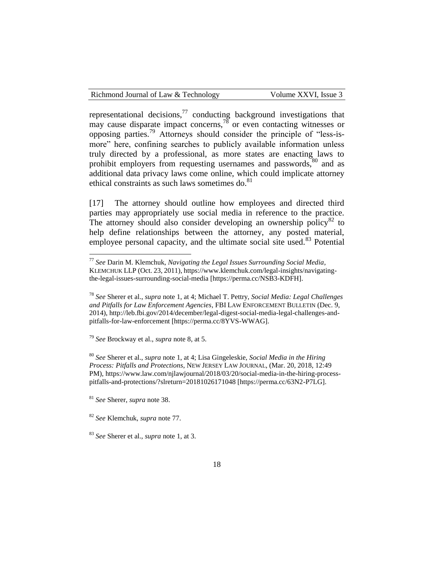representational decisions, $^{77}$  conducting background investigations that may cause disparate impact concerns,  $^{78}$  or even contacting witnesses or opposing parties.<sup>79</sup> Attorneys should consider the principle of "less-ismore" here, confining searches to publicly available information unless truly directed by a professional, as more states are enacting laws to prohibit employers from requesting usernames and passwords,<sup>80</sup> and as additional data privacy laws come online, which could implicate attorney ethical constraints as such laws sometimes do. $81$ 

[17] The attorney should outline how employees and directed third parties may appropriately use social media in reference to the practice. The attorney should also consider developing an ownership policy<sup>82</sup> to help define relationships between the attorney, any posted material, employee personal capacity, and the ultimate social site used.<sup>83</sup> Potential

<sup>79</sup> *See* Brockway et al., *supra* note 8, at 5.

<sup>80</sup> *See* Sherer et al., *supra* note 1, at 4; Lisa Gingeleskie, *Social Media in the Hiring Process: Pitfalls and Protections*, NEW JERSEY LAW JOURNAL, (Mar. 20, 2018, 12:49 PM), https://www.law.com/njlawjournal/2018/03/20/social-media-in-the-hiring-processpitfalls-and-protections/?slreturn=20181026171048 [https://perma.cc/63N2-P7LG].

<sup>81</sup> *See* Sherer, *supra* note 38.

 $\overline{a}$ 

<sup>82</sup> *See* Klemchuk, *supra* note 77.

<sup>77</sup> *See* Darin M. Klemchuk, *Navigating the Legal Issues Surrounding Social Media*, KLEMCHUK LLP (Oct. 23, 2011), https://www.klemchuk.com/legal-insights/navigatingthe-legal-issues-surrounding-social-media [https://perma.cc/NSB3-KDFH].

<sup>78</sup> *See* Sherer et al., *supra* note 1, at 4; Michael T. Pettry, *Social Media: Legal Challenges and Pitfalls for Law Enforcement Agencies*, FBI LAW ENFORCEMENT BULLETIN (Dec. 9, 2014), http://leb.fbi.gov/2014/december/legal-digest-social-media-legal-challenges-andpitfalls-for-law-enforcement [https://perma.cc/8YVS-WWAG].

<sup>83</sup> *See* Sherer et al., *supra* note 1, at 3.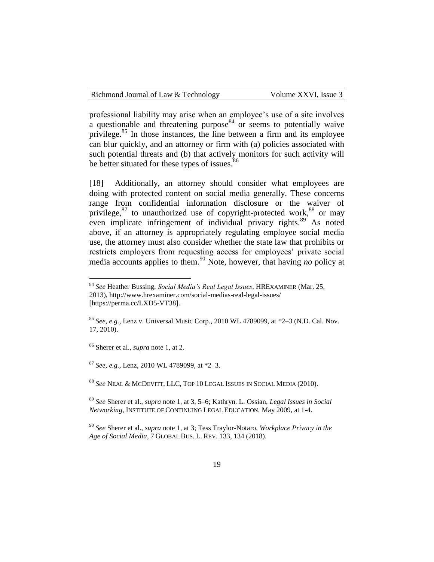professional liability may arise when an employee's use of a site involves a questionable and threatening purpose<sup>84</sup> or seems to potentially waive privilege.<sup>85</sup> In those instances, the line between a firm and its employee can blur quickly, and an attorney or firm with (a) policies associated with such potential threats and (b) that actively monitors for such activity will be better situated for these types of issues.<sup>86</sup>

[18] Additionally, an attorney should consider what employees are doing with protected content on social media generally. These concerns range from confidential information disclosure or the waiver of privilege, $87$  to unauthorized use of copyright-protected work, $88$  or may even implicate infringement of individual privacy rights.<sup>89</sup> As noted above, if an attorney is appropriately regulating employee social media use, the attorney must also consider whether the state law that prohibits or restricts employers from requesting access for employees' private social media accounts applies to them.<sup>90</sup> Note, however, that having *no* policy at

<sup>86</sup> Sherer et al., *supra* note 1, at 2.

 $\overline{a}$ 

<sup>87</sup> *See, e.g.*, Lenz, 2010 WL 4789099, at \*2–3.

<sup>88</sup> *See* NEAL & MCDEVITT, LLC, TOP 10 LEGAL ISSUES IN SOCIAL MEDIA (2010).

<sup>89</sup> *See* Sherer et al., *supra* note 1, at 3, 5–6; Kathryn. L. Ossian, *Legal Issues in Social Networking*, INSTITUTE OF CONTINUING LEGAL EDUCATION, May 2009, at 1-4.

<sup>90</sup> *See* Sherer et al., *supra* note 1, at 3; Tess Traylor-Notaro, *Workplace Privacy in the Age of Social Media*, 7 GLOBAL BUS. L. REV. 133, 134 (2018).

<sup>84</sup> *See* Heather Bussing, *Social Media's Real Legal Issues*, HREXAMINER (Mar. 25, 2013), http://www.hrexaminer.com/social-medias-real-legal-issues/ [https://perma.cc/LXD5-VT38].

<sup>85</sup> *See, e.g.*, Lenz v. Universal Music Corp., 2010 WL 4789099, at \*2–3 (N.D. Cal. Nov. 17, 2010).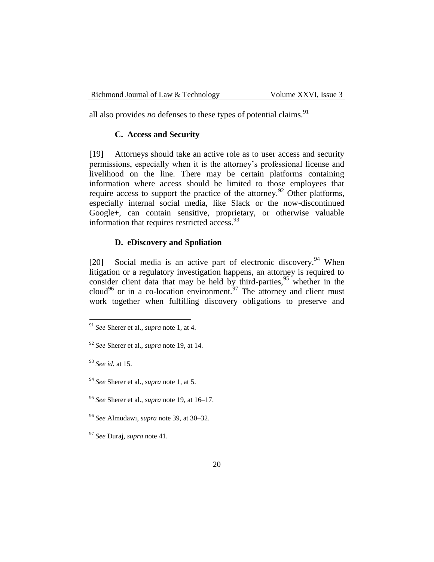all also provides *no* defenses to these types of potential claims.<sup>91</sup>

#### **C. Access and Security**

[19] Attorneys should take an active role as to user access and security permissions, especially when it is the attorney's professional license and livelihood on the line. There may be certain platforms containing information where access should be limited to those employees that require access to support the practice of the attorney.<sup>92</sup> Other platforms, especially internal social media, like Slack or the now-discontinued Google+, can contain sensitive, proprietary, or otherwise valuable information that requires restricted access.<sup>93</sup>

## **D. eDiscovery and Spoliation**

[20] Social media is an active part of electronic discovery.<sup>94</sup> When litigation or a regulatory investigation happens, an attorney is required to consider client data that may be held by third-parties,<sup>95</sup> whether in the construct of the data that may be next by  $\frac{97}{100}$  and parties, whenever in the cloud<sup>96</sup> or in a co-location environment.<sup>97</sup> The attorney and client must work together when fulfilling discovery obligations to preserve and

<sup>91</sup> *See* Sherer et al., *supra* note 1, at 4.

<sup>92</sup> *See* Sherer et al., *supra* note 19, at 14.

<sup>93</sup> *See id.* at 15.

<sup>94</sup> *See* Sherer et al., *supra* note 1, at 5.

<sup>95</sup> *See* Sherer et al., *supra* note 19, at 16–17.

<sup>96</sup> *See* Almudawi, *supra* note 39, at 30–32.

<sup>97</sup> *See* Duraj, *supra* note 41.